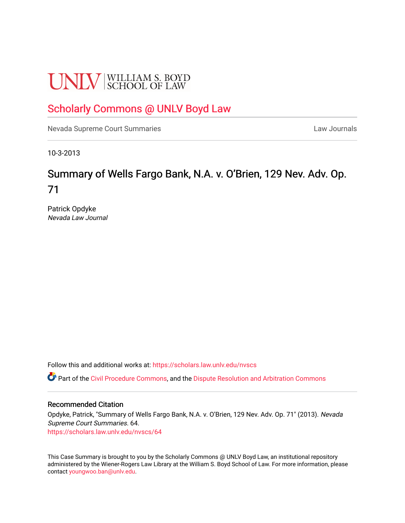# **UNLV** SCHOOL OF LAW

## [Scholarly Commons @ UNLV Boyd Law](https://scholars.law.unlv.edu/)

[Nevada Supreme Court Summaries](https://scholars.law.unlv.edu/nvscs) **Law Journals** Law Journals

10-3-2013

## Summary of Wells Fargo Bank, N.A. v. O'Brien, 129 Nev. Adv. Op. 71

Patrick Opdyke Nevada Law Journal

Follow this and additional works at: [https://scholars.law.unlv.edu/nvscs](https://scholars.law.unlv.edu/nvscs?utm_source=scholars.law.unlv.edu%2Fnvscs%2F64&utm_medium=PDF&utm_campaign=PDFCoverPages)

**C** Part of the [Civil Procedure Commons,](http://network.bepress.com/hgg/discipline/584?utm_source=scholars.law.unlv.edu%2Fnvscs%2F64&utm_medium=PDF&utm_campaign=PDFCoverPages) and the Dispute Resolution and Arbitration Commons

#### Recommended Citation

Opdyke, Patrick, "Summary of Wells Fargo Bank, N.A. v. O'Brien, 129 Nev. Adv. Op. 71" (2013). Nevada Supreme Court Summaries. 64. [https://scholars.law.unlv.edu/nvscs/64](https://scholars.law.unlv.edu/nvscs/64?utm_source=scholars.law.unlv.edu%2Fnvscs%2F64&utm_medium=PDF&utm_campaign=PDFCoverPages) 

This Case Summary is brought to you by the Scholarly Commons @ UNLV Boyd Law, an institutional repository administered by the Wiener-Rogers Law Library at the William S. Boyd School of Law. For more information, please contact [youngwoo.ban@unlv.edu](mailto:youngwoo.ban@unlv.edu).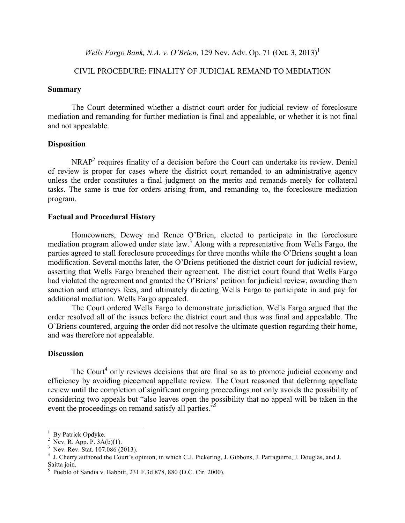*Wells Fargo Bank, N.A. v. O'Brien,* 129 Nev. Adv. Op. 71 (Oct. 3, 2013)<sup>1</sup>

### CIVIL PROCEDURE: FINALITY OF JUDICIAL REMAND TO MEDIATION

#### **Summary**

The Court determined whether a district court order for judicial review of foreclosure mediation and remanding for further mediation is final and appealable, or whether it is not final and not appealable.

#### **Disposition**

NRAP2 requires finality of a decision before the Court can undertake its review. Denial of review is proper for cases where the district court remanded to an administrative agency unless the order constitutes a final judgment on the merits and remands merely for collateral tasks. The same is true for orders arising from, and remanding to, the foreclosure mediation program.

#### **Factual and Procedural History**

Homeowners, Dewey and Renee O'Brien, elected to participate in the foreclosure mediation program allowed under state law. <sup>3</sup> Along with a representative from Wells Fargo, the parties agreed to stall foreclosure proceedings for three months while the O'Briens sought a loan modification. Several months later, the O'Briens petitioned the district court for judicial review, asserting that Wells Fargo breached their agreement. The district court found that Wells Fargo had violated the agreement and granted the O'Briens' petition for judicial review, awarding them sanction and attorneys fees, and ultimately directing Wells Fargo to participate in and pay for additional mediation. Wells Fargo appealed.

The Court ordered Wells Fargo to demonstrate jurisdiction. Wells Fargo argued that the order resolved all of the issues before the district court and thus was final and appealable. The O'Briens countered, arguing the order did not resolve the ultimate question regarding their home, and was therefore not appealable.

#### **Discussion**

The Court<sup>4</sup> only reviews decisions that are final so as to promote judicial economy and efficiency by avoiding piecemeal appellate review. The Court reasoned that deferring appellate review until the completion of significant ongoing proceedings not only avoids the possibility of considering two appeals but "also leaves open the possibility that no appeal will be taken in the event the proceedings on remand satisfy all parties.<sup>"5</sup>

 

<sup>1</sup>

<sup>&</sup>lt;sup>1</sup> By Patrick Opdyke.<br><sup>2</sup> Nev. R. App. P. 3A(b)(1).

 $3$  Nev. Rev. Stat. 107.086 (2013).

<sup>&</sup>lt;sup>4</sup> J. Cherry authored the Court's opinion, in which C.J. Pickering, J. Gibbons, J. Parraguirre, J. Douglas, and J. Saitta join.

 $5$  Pueblo of Sandia v. Babbitt, 231 F.3d 878, 880 (D.C. Cir. 2000).